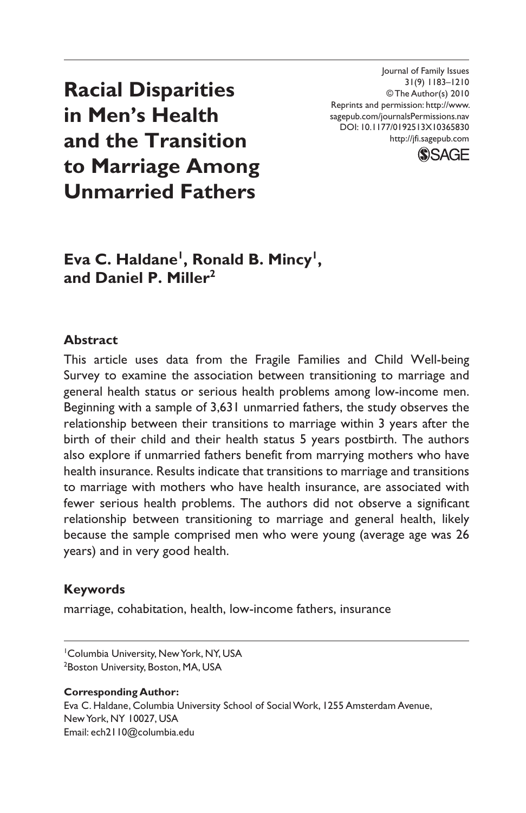**Racial Disparities in Men's Health and the Transition to Marriage Among Unmarried Fathers**

Journal of Family Issues 31(9) 1183–1210 © The Author(s) 2010 Reprints and permission: http://www. sagepub.com/journalsPermissions.nav DOI: 10.1177/0192513X10365830 http://jfi.sagepub.com



Eva C. Haldane<sup>1</sup>, Ronald B. Mincy<sup>1</sup>, **and Daniel P. Miller2**

#### **Abstract**

This article uses data from the Fragile Families and Child Well-being Survey to examine the association between transitioning to marriage and general health status or serious health problems among low-income men. Beginning with a sample of 3,631 unmarried fathers, the study observes the relationship between their transitions to marriage within 3 years after the birth of their child and their health status 5 years postbirth. The authors also explore if unmarried fathers benefit from marrying mothers who have health insurance. Results indicate that transitions to marriage and transitions to marriage with mothers who have health insurance, are associated with fewer serious health problems. The authors did not observe a significant relationship between transitioning to marriage and general health, likely because the sample comprised men who were young (average age was 26 years) and in very good health.

#### **Keywords**

marriage, cohabitation, health, low-income fathers, insurance

#### **Corresponding Author:**

Eva C. Haldane, Columbia University School of Social Work, 1255 Amsterdam Avenue, New York, NY 10027, USA Email: ech2110@columbia.edu

<sup>1</sup> Columbia University, New York, NY, USA <sup>2</sup>Boston University, Boston, MA, USA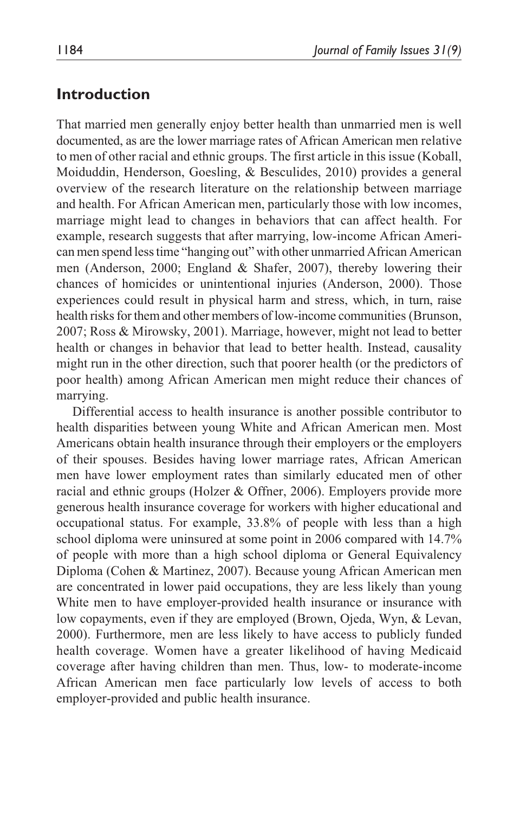# **Introduction**

That married men generally enjoy better health than unmarried men is well documented, as are the lower marriage rates of African American men relative to men of other racial and ethnic groups. The first article in this issue (Koball, Moiduddin, Henderson, Goesling, & Besculides, 2010) provides a general overview of the research literature on the relationship between marriage and health. For African American men, particularly those with low incomes, marriage might lead to changes in behaviors that can affect health. For example, research suggests that after marrying, low-income African American men spend less time "hanging out" with other unmarried African American men (Anderson, 2000; England & Shafer, 2007), thereby lowering their chances of homicides or unintentional injuries (Anderson, 2000). Those experiences could result in physical harm and stress, which, in turn, raise health risks for them and other members of low-income communities (Brunson, 2007; Ross & Mirowsky, 2001). Marriage, however, might not lead to better health or changes in behavior that lead to better health. Instead, causality might run in the other direction, such that poorer health (or the predictors of poor health) among African American men might reduce their chances of marrying.

Differential access to health insurance is another possible contributor to health disparities between young White and African American men. Most Americans obtain health insurance through their employers or the employers of their spouses. Besides having lower marriage rates, African American men have lower employment rates than similarly educated men of other racial and ethnic groups (Holzer & Offner, 2006). Employers provide more generous health insurance coverage for workers with higher educational and occupational status. For example, 33.8% of people with less than a high school diploma were uninsured at some point in 2006 compared with 14.7% of people with more than a high school diploma or General Equivalency Diploma (Cohen & Martinez, 2007). Because young African American men are concentrated in lower paid occupations, they are less likely than young White men to have employer-provided health insurance or insurance with low copayments, even if they are employed (Brown, Ojeda, Wyn, & Levan, 2000). Furthermore, men are less likely to have access to publicly funded health coverage. Women have a greater likelihood of having Medicaid coverage after having children than men. Thus, low- to moderate-income African American men face particularly low levels of access to both employer-provided and public health insurance.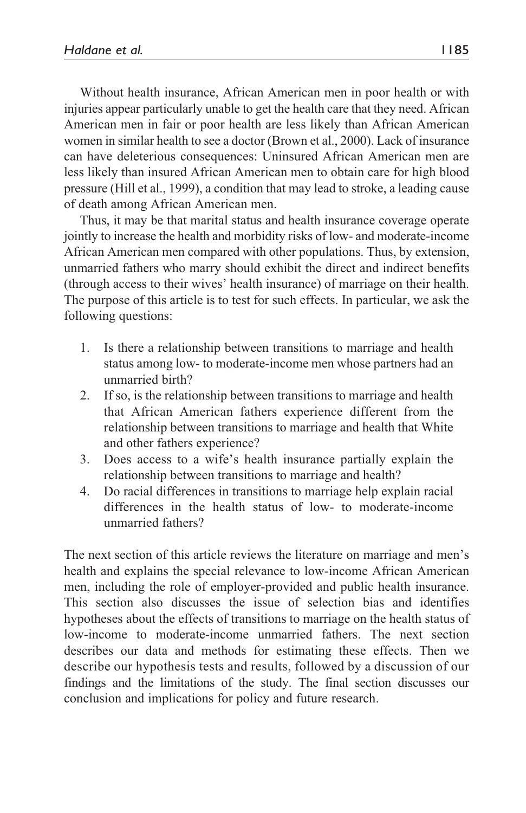Without health insurance, African American men in poor health or with injuries appear particularly unable to get the health care that they need. African American men in fair or poor health are less likely than African American women in similar health to see a doctor (Brown et al., 2000). Lack of insurance can have deleterious consequences: Uninsured African American men are less likely than insured African American men to obtain care for high blood pressure (Hill et al., 1999), a condition that may lead to stroke, a leading cause of death among African American men.

Thus, it may be that marital status and health insurance coverage operate jointly to increase the health and morbidity risks of low- and moderate-income African American men compared with other populations. Thus, by extension, unmarried fathers who marry should exhibit the direct and indirect benefits (through access to their wives' health insurance) of marriage on their health. The purpose of this article is to test for such effects. In particular, we ask the following questions:

- 1. Is there a relationship between transitions to marriage and health status among low- to moderate-income men whose partners had an unmarried birth?
- 2. If so, is the relationship between transitions to marriage and health that African American fathers experience different from the relationship between transitions to marriage and health that White and other fathers experience?
- 3. Does access to a wife's health insurance partially explain the relationship between transitions to marriage and health?
- 4. Do racial differences in transitions to marriage help explain racial differences in the health status of low- to moderate-income unmarried fathers?

The next section of this article reviews the literature on marriage and men's health and explains the special relevance to low-income African American men, including the role of employer-provided and public health insurance. This section also discusses the issue of selection bias and identifies hypotheses about the effects of transitions to marriage on the health status of low-income to moderate-income unmarried fathers. The next section describes our data and methods for estimating these effects. Then we describe our hypothesis tests and results, followed by a discussion of our findings and the limitations of the study. The final section discusses our conclusion and implications for policy and future research.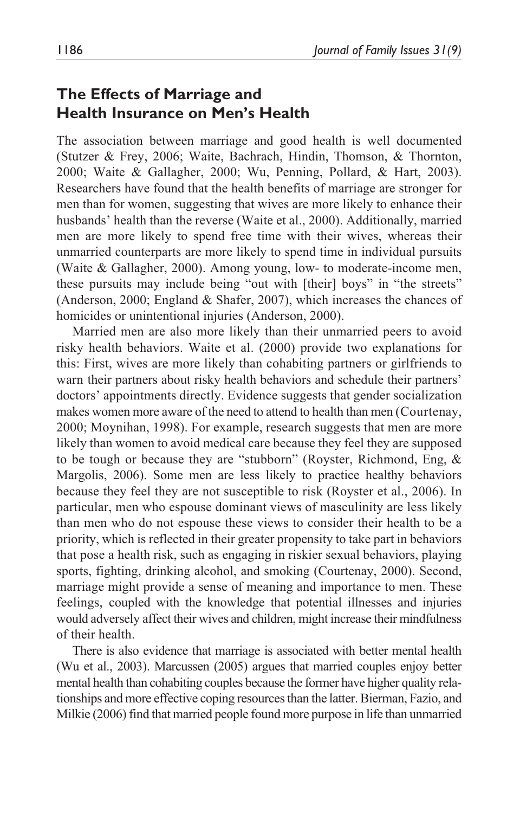# **The Effects of Marriage and Health Insurance on Men's Health**

The association between marriage and good health is well documented (Stutzer & Frey, 2006; Waite, Bachrach, Hindin, Thomson, & Thornton, 2000; Waite & Gallagher, 2000; Wu, Penning, Pollard, & Hart, 2003). Researchers have found that the health benefits of marriage are stronger for men than for women, suggesting that wives are more likely to enhance their husbands' health than the reverse (Waite et al., 2000). Additionally, married men are more likely to spend free time with their wives, whereas their unmarried counterparts are more likely to spend time in individual pursuits (Waite & Gallagher, 2000). Among young, low- to moderate-income men, these pursuits may include being "out with [their] boys" in "the streets" (Anderson, 2000; England & Shafer, 2007), which increases the chances of homicides or unintentional injuries (Anderson, 2000).

Married men are also more likely than their unmarried peers to avoid risky health behaviors. Waite et al. (2000) provide two explanations for this: First, wives are more likely than cohabiting partners or girlfriends to warn their partners about risky health behaviors and schedule their partners' doctors' appointments directly. Evidence suggests that gender socialization makes women more aware of the need to attend to health than men (Courtenay, 2000; Moynihan, 1998). For example, research suggests that men are more likely than women to avoid medical care because they feel they are supposed to be tough or because they are "stubborn" (Royster, Richmond, Eng, & Margolis, 2006). Some men are less likely to practice healthy behaviors because they feel they are not susceptible to risk (Royster et al., 2006). In particular, men who espouse dominant views of masculinity are less likely than men who do not espouse these views to consider their health to be a priority, which is reflected in their greater propensity to take part in behaviors that pose a health risk, such as engaging in riskier sexual behaviors, playing sports, fighting, drinking alcohol, and smoking (Courtenay, 2000). Second, marriage might provide a sense of meaning and importance to men. These feelings, coupled with the knowledge that potential illnesses and injuries would adversely affect their wives and children, might increase their mindfulness of their health.

There is also evidence that marriage is associated with better mental health (Wu et al., 2003). Marcussen (2005) argues that married couples enjoy better mental health than cohabiting couples because the former have higher quality relationships and more effective coping resources than the latter. Bierman, Fazio, and Milkie (2006) find that married people found more purpose in life than unmarried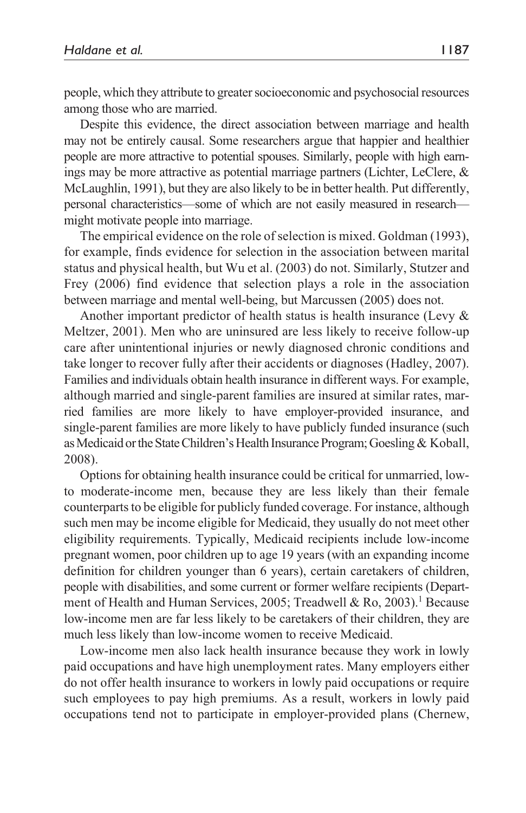people, which they attribute to greater socioeconomic and psychosocial resources among those who are married.

Despite this evidence, the direct association between marriage and health may not be entirely causal. Some researchers argue that happier and healthier people are more attractive to potential spouses. Similarly, people with high earnings may be more attractive as potential marriage partners (Lichter, LeClere, & McLaughlin, 1991), but they are also likely to be in better health. Put differently, personal characteristics—some of which are not easily measured in research might motivate people into marriage.

The empirical evidence on the role of selection is mixed. Goldman (1993), for example, finds evidence for selection in the association between marital status and physical health, but Wu et al. (2003) do not. Similarly, Stutzer and Frey (2006) find evidence that selection plays a role in the association between marriage and mental well-being, but Marcussen (2005) does not.

Another important predictor of health status is health insurance (Levy & Meltzer, 2001). Men who are uninsured are less likely to receive follow-up care after unintentional injuries or newly diagnosed chronic conditions and take longer to recover fully after their accidents or diagnoses (Hadley, 2007). Families and individuals obtain health insurance in different ways. For example, although married and single-parent families are insured at similar rates, married families are more likely to have employer-provided insurance, and single-parent families are more likely to have publicly funded insurance (such as Medicaid or the State Children's Health Insurance Program; Goesling & Koball, 2008).

Options for obtaining health insurance could be critical for unmarried, lowto moderate-income men, because they are less likely than their female counterparts to be eligible for publicly funded coverage. For instance, although such men may be income eligible for Medicaid, they usually do not meet other eligibility requirements. Typically, Medicaid recipients include low-income pregnant women, poor children up to age 19 years (with an expanding income definition for children younger than 6 years), certain caretakers of children, people with disabilities, and some current or former welfare recipients (Department of Health and Human Services, 2005; Treadwell & Ro, 2003).<sup>1</sup> Because low-income men are far less likely to be caretakers of their children, they are much less likely than low-income women to receive Medicaid.

Low-income men also lack health insurance because they work in lowly paid occupations and have high unemployment rates. Many employers either do not offer health insurance to workers in lowly paid occupations or require such employees to pay high premiums. As a result, workers in lowly paid occupations tend not to participate in employer-provided plans (Chernew,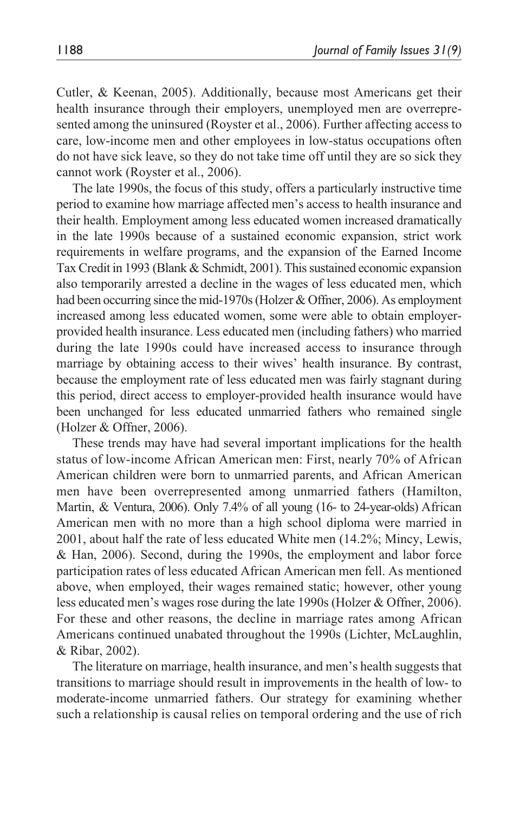Cutler, & Keenan, 2005). Additionally, because most Americans get their health insurance through their employers, unemployed men are overrepresented among the uninsured (Royster et al., 2006). Further affecting access to care, low-income men and other employees in low-status occupations often do not have sick leave, so they do not take time off until they are so sick they cannot work (Royster et al., 2006).

The late 1990s, the focus of this study, offers a particularly instructive time period to examine how marriage affected men's access to health insurance and their health. Employment among less educated women increased dramatically in the late 1990s because of a sustained economic expansion, strict work requirements in welfare programs, and the expansion of the Earned Income Tax Credit in 1993 (Blank & Schmidt, 2001). This sustained economic expansion also temporarily arrested a decline in the wages of less educated men, which had been occurring since the mid-1970s (Holzer & Offner, 2006). As employment increased among less educated women, some were able to obtain employerprovided health insurance. Less educated men (including fathers) who married during the late 1990s could have increased access to insurance through marriage by obtaining access to their wives' health insurance. By contrast, because the employment rate of less educated men was fairly stagnant during this period, direct access to employer-provided health insurance would have been unchanged for less educated unmarried fathers who remained single (Holzer & Offner, 2006).

These trends may have had several important implications for the health status of low-income African American men: First, nearly 70% of African American children were born to unmarried parents, and African American men have been overrepresented among unmarried fathers (Hamilton, Martin, & Ventura, 2006). Only 7.4% of all young (16- to 24-year-olds) African American men with no more than a high school diploma were married in 2001, about half the rate of less educated White men (14.2%; Mincy, Lewis, & Han, 2006). Second, during the 1990s, the employment and labor force participation rates of less educated African American men fell. As mentioned above, when employed, their wages remained static; however, other young less educated men's wages rose during the late 1990s (Holzer & Offner, 2006). For these and other reasons, the decline in marriage rates among African Americans continued unabated throughout the 1990s (Lichter, McLaughlin, & Ribar, 2002).

The literature on marriage, health insurance, and men's health suggests that transitions to marriage should result in improvements in the health of low- to moderate-income unmarried fathers. Our strategy for examining whether such a relationship is causal relies on temporal ordering and the use of rich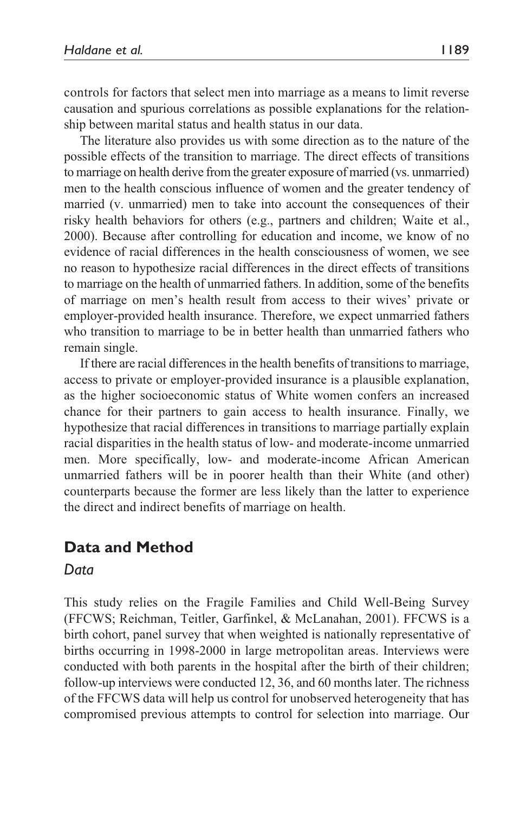controls for factors that select men into marriage as a means to limit reverse causation and spurious correlations as possible explanations for the relationship between marital status and health status in our data.

The literature also provides us with some direction as to the nature of the possible effects of the transition to marriage. The direct effects of transitions to marriage on health derive from the greater exposure of married (vs. unmarried) men to the health conscious influence of women and the greater tendency of married (v. unmarried) men to take into account the consequences of their risky health behaviors for others (e.g., partners and children; Waite et al., 2000). Because after controlling for education and income, we know of no evidence of racial differences in the health consciousness of women, we see no reason to hypothesize racial differences in the direct effects of transitions to marriage on the health of unmarried fathers. In addition, some of the benefits of marriage on men's health result from access to their wives' private or employer-provided health insurance. Therefore, we expect unmarried fathers who transition to marriage to be in better health than unmarried fathers who remain single.

If there are racial differences in the health benefits of transitions to marriage, access to private or employer-provided insurance is a plausible explanation, as the higher socioeconomic status of White women confers an increased chance for their partners to gain access to health insurance. Finally, we hypothesize that racial differences in transitions to marriage partially explain racial disparities in the health status of low- and moderate-income unmarried men. More specifically, low- and moderate-income African American unmarried fathers will be in poorer health than their White (and other) counterparts because the former are less likely than the latter to experience the direct and indirect benefits of marriage on health.

# **Data and Method**

#### *Data*

This study relies on the Fragile Families and Child Well-Being Survey (FFCWS; Reichman, Teitler, Garfinkel, & McLanahan, 2001). FFCWS is a birth cohort, panel survey that when weighted is nationally representative of births occurring in 1998-2000 in large metropolitan areas. Interviews were conducted with both parents in the hospital after the birth of their children; follow-up interviews were conducted 12, 36, and 60 months later. The richness of the FFCWS data will help us control for unobserved heterogeneity that has compromised previous attempts to control for selection into marriage. Our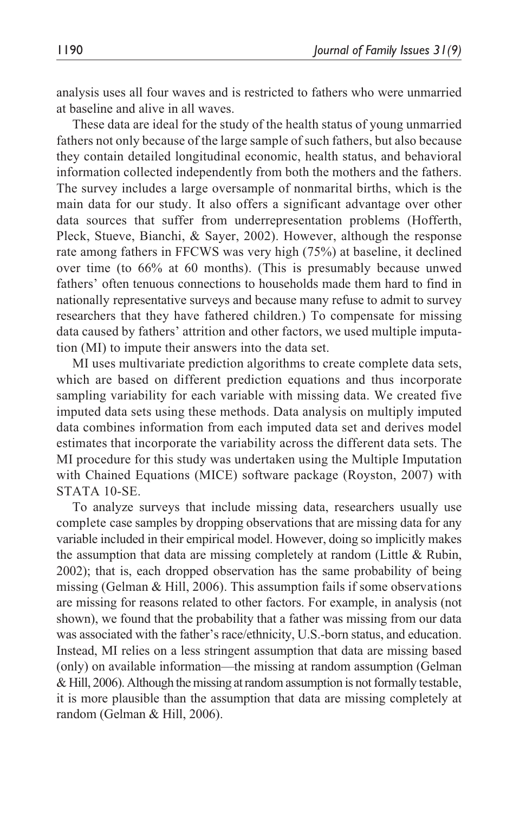analysis uses all four waves and is restricted to fathers who were unmarried at baseline and alive in all waves.

These data are ideal for the study of the health status of young unmarried fathers not only because of the large sample of such fathers, but also because they contain detailed longitudinal economic, health status, and behavioral information collected independently from both the mothers and the fathers. The survey includes a large oversample of nonmarital births, which is the main data for our study. It also offers a significant advantage over other data sources that suffer from underrepresentation problems (Hofferth, Pleck, Stueve, Bianchi, & Sayer, 2002). However, although the response rate among fathers in FFCWS was very high (75%) at baseline, it declined over time (to 66% at 60 months). (This is presumably because unwed fathers' often tenuous connections to households made them hard to find in nationally representative surveys and because many refuse to admit to survey researchers that they have fathered children.) To compensate for missing data caused by fathers' attrition and other factors, we used multiple imputation (MI) to impute their answers into the data set.

MI uses multivariate prediction algorithms to create complete data sets, which are based on different prediction equations and thus incorporate sampling variability for each variable with missing data. We created five imputed data sets using these methods. Data analysis on multiply imputed data combines information from each imputed data set and derives model estimates that incorporate the variability across the different data sets. The MI procedure for this study was undertaken using the Multiple Imputation with Chained Equations (MICE) software package (Royston, 2007) with STATA 10-SE.

To analyze surveys that include missing data, researchers usually use complete case samples by dropping observations that are missing data for any variable included in their empirical model. However, doing so implicitly makes the assumption that data are missing completely at random (Little & Rubin, 2002); that is, each dropped observation has the same probability of being missing (Gelman  $&$  Hill, 2006). This assumption fails if some observations are missing for reasons related to other factors. For example, in analysis (not shown), we found that the probability that a father was missing from our data was associated with the father's race/ethnicity, U.S.-born status, and education. Instead, MI relies on a less stringent assumption that data are missing based (only) on available information—the missing at random assumption (Gelman & Hill, 2006). Although the missing at random assumption is not formally testable, it is more plausible than the assumption that data are missing completely at random (Gelman & Hill, 2006).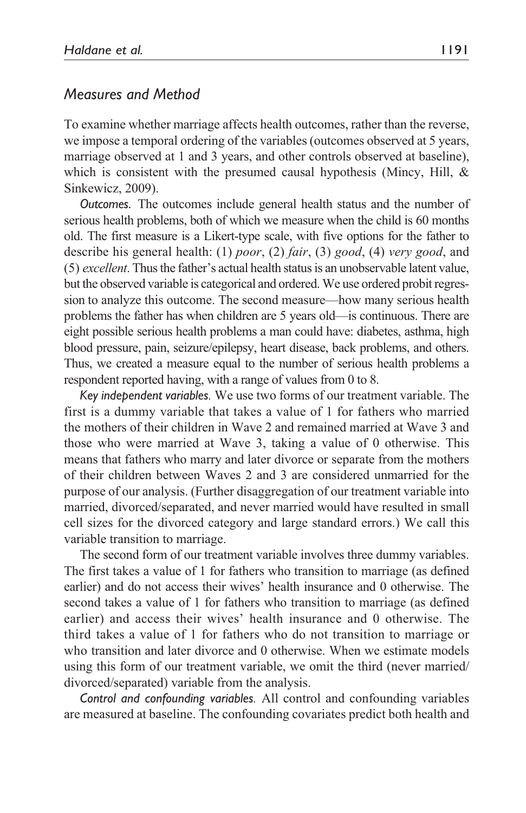### *Measures and Method*

To examine whether marriage affects health outcomes, rather than the reverse, we impose a temporal ordering of the variables (outcomes observed at 5 years, marriage observed at 1 and 3 years, and other controls observed at baseline), which is consistent with the presumed causal hypothesis (Mincy, Hill, & Sinkewicz, 2009).

*Outcomes.* The outcomes include general health status and the number of serious health problems, both of which we measure when the child is 60 months old. The first measure is a Likert-type scale, with five options for the father to describe his general health: (1) *poor*, (2) *fair*, (3) *good*, (4) *very good*, and (5) *excellent*. Thus the father's actual health status is an unobservable latent value, but the observed variable is categorical and ordered. We use ordered probit regression to analyze this outcome. The second measure—how many serious health problems the father has when children are 5 years old—is continuous. There are eight possible serious health problems a man could have: diabetes, asthma, high blood pressure, pain, seizure/epilepsy, heart disease, back problems, and others. Thus, we created a measure equal to the number of serious health problems a respondent reported having, with a range of values from 0 to 8.

*Key independent variables.* We use two forms of our treatment variable. The first is a dummy variable that takes a value of 1 for fathers who married the mothers of their children in Wave 2 and remained married at Wave 3 and those who were married at Wave 3, taking a value of 0 otherwise. This means that fathers who marry and later divorce or separate from the mothers of their children between Waves 2 and 3 are considered unmarried for the purpose of our analysis. (Further disaggregation of our treatment variable into married, divorced/separated, and never married would have resulted in small cell sizes for the divorced category and large standard errors.) We call this variable transition to marriage.

The second form of our treatment variable involves three dummy variables. The first takes a value of 1 for fathers who transition to marriage (as defined earlier) and do not access their wives' health insurance and 0 otherwise. The second takes a value of 1 for fathers who transition to marriage (as defined earlier) and access their wives' health insurance and 0 otherwise. The third takes a value of 1 for fathers who do not transition to marriage or who transition and later divorce and 0 otherwise. When we estimate models using this form of our treatment variable, we omit the third (never married/ divorced/separated) variable from the analysis.

*Control and confounding variables.* All control and confounding variables are measured at baseline. The confounding covariates predict both health and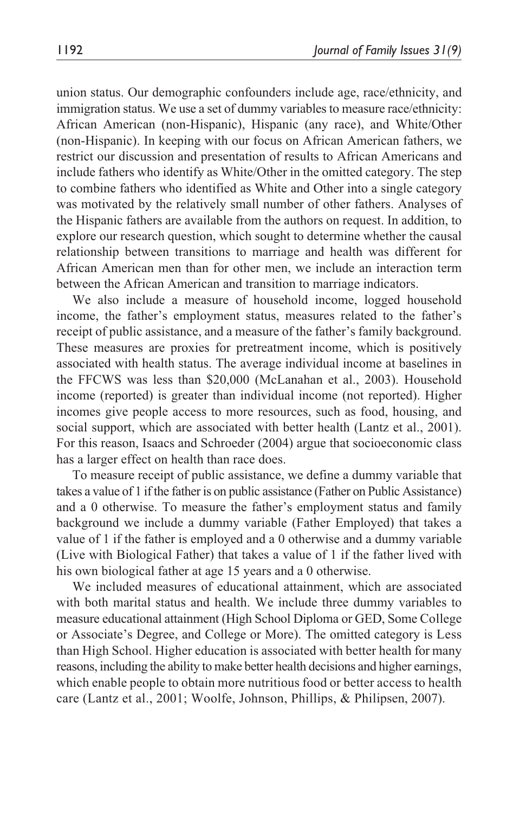union status. Our demographic confounders include age, race/ethnicity, and immigration status. We use a set of dummy variables to measure race/ethnicity: African American (non-Hispanic), Hispanic (any race), and White/Other (non-Hispanic). In keeping with our focus on African American fathers, we restrict our discussion and presentation of results to African Americans and include fathers who identify as White/Other in the omitted category. The step to combine fathers who identified as White and Other into a single category was motivated by the relatively small number of other fathers. Analyses of the Hispanic fathers are available from the authors on request. In addition, to explore our research question, which sought to determine whether the causal relationship between transitions to marriage and health was different for African American men than for other men, we include an interaction term between the African American and transition to marriage indicators.

We also include a measure of household income, logged household income, the father's employment status, measures related to the father's receipt of public assistance, and a measure of the father's family background. These measures are proxies for pretreatment income, which is positively associated with health status. The average individual income at baselines in the FFCWS was less than \$20,000 (McLanahan et al., 2003). Household income (reported) is greater than individual income (not reported). Higher incomes give people access to more resources, such as food, housing, and social support, which are associated with better health (Lantz et al., 2001). For this reason, Isaacs and Schroeder (2004) argue that socioeconomic class has a larger effect on health than race does.

To measure receipt of public assistance, we define a dummy variable that takes a value of 1 if the father is on public assistance (Father on Public Assistance) and a 0 otherwise. To measure the father's employment status and family background we include a dummy variable (Father Employed) that takes a value of 1 if the father is employed and a 0 otherwise and a dummy variable (Live with Biological Father) that takes a value of 1 if the father lived with his own biological father at age 15 years and a 0 otherwise.

We included measures of educational attainment, which are associated with both marital status and health. We include three dummy variables to measure educational attainment (High School Diploma or GED, Some College or Associate's Degree, and College or More). The omitted category is Less than High School. Higher education is associated with better health for many reasons, including the ability to make better health decisions and higher earnings, which enable people to obtain more nutritious food or better access to health care (Lantz et al., 2001; Woolfe, Johnson, Phillips, & Philipsen, 2007).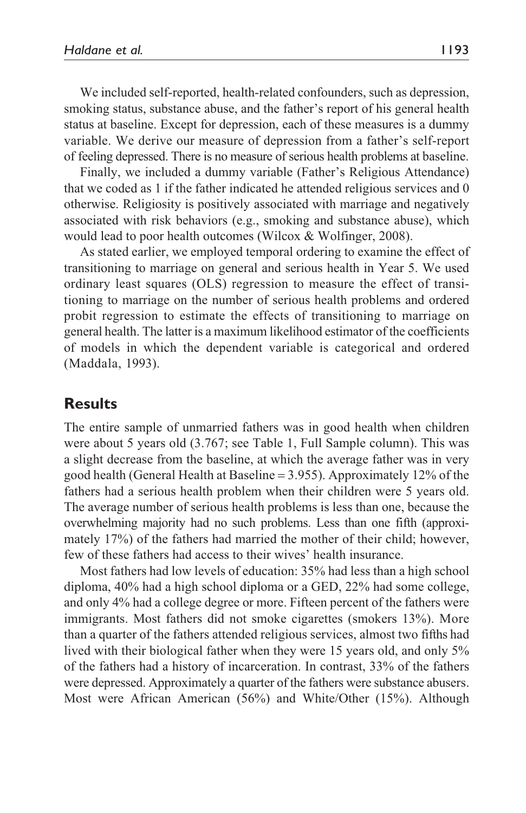We included self-reported, health-related confounders, such as depression, smoking status, substance abuse, and the father's report of his general health status at baseline. Except for depression, each of these measures is a dummy variable. We derive our measure of depression from a father's self-report of feeling depressed. There is no measure of serious health problems at baseline.

Finally, we included a dummy variable (Father's Religious Attendance) that we coded as 1 if the father indicated he attended religious services and 0 otherwise. Religiosity is positively associated with marriage and negatively associated with risk behaviors (e.g., smoking and substance abuse), which would lead to poor health outcomes (Wilcox & Wolfinger, 2008).

As stated earlier, we employed temporal ordering to examine the effect of transitioning to marriage on general and serious health in Year 5. We used ordinary least squares (OLS) regression to measure the effect of transitioning to marriage on the number of serious health problems and ordered probit regression to estimate the effects of transitioning to marriage on general health. The latter is a maximum likelihood estimator of the coefficients of models in which the dependent variable is categorical and ordered (Maddala, 1993).

# **Results**

The entire sample of unmarried fathers was in good health when children were about 5 years old (3.767; see Table 1, Full Sample column). This was a slight decrease from the baseline, at which the average father was in very good health (General Health at Baseline  $= 3.955$ ). Approximately 12% of the fathers had a serious health problem when their children were 5 years old. The average number of serious health problems is less than one, because the overwhelming majority had no such problems. Less than one fifth (approximately 17%) of the fathers had married the mother of their child; however, few of these fathers had access to their wives' health insurance.

Most fathers had low levels of education: 35% had less than a high school diploma, 40% had a high school diploma or a GED, 22% had some college, and only 4% had a college degree or more. Fifteen percent of the fathers were immigrants. Most fathers did not smoke cigarettes (smokers 13%). More than a quarter of the fathers attended religious services, almost two fifths had lived with their biological father when they were 15 years old, and only 5% of the fathers had a history of incarceration. In contrast, 33% of the fathers were depressed. Approximately a quarter of the fathers were substance abusers. Most were African American (56%) and White/Other (15%). Although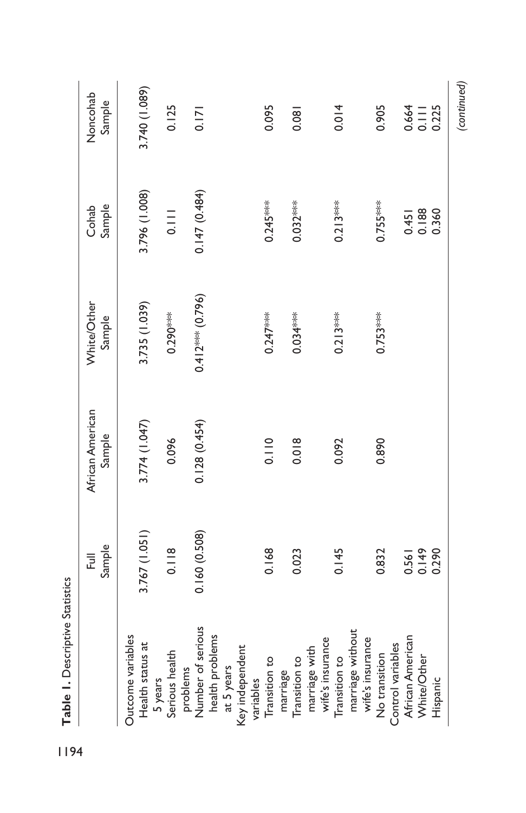|                                                                | Sample<br>Ē             | African American<br>Sample | White/Other<br>Sample | Sample<br>Cohab    | Noncohab<br>Sample      |
|----------------------------------------------------------------|-------------------------|----------------------------|-----------------------|--------------------|-------------------------|
| Outcome variables<br>Health status at                          | 3.767 (1.051)           | 3.774(1.047)               | 3.735 (1.039)         | 3.796 (1.008)      | 3.740 (1.089)           |
| Serious health<br>5 years                                      | 0.118                   | 0.096                      | $0.290***$            | $\frac{1}{10}$     | 0.125                   |
| Number of serious<br>health problems<br>at 5 years<br>problems | 0.160 (0.508)           | 0.128(0.454)               | $0.412*** (0.796)$    | 0.147(0.484)       | 0.171                   |
| Key independent<br>variables                                   |                         |                            |                       |                    |                         |
| Transition to                                                  | 0.168                   | 0.110                      | $0.247***$            | $0.245***$         | 0.095                   |
| Transition to<br>marriage                                      | 0.023                   | 0.018                      | $0.034***$            | $0.032***$         | 0.081                   |
| wife's insurance<br>marriage with<br>Transition to             | 0.145                   | 0.092                      | $0.213***$            | $0.213***$         | 0.014                   |
| marriage without<br>wife's insurance                           |                         |                            |                       |                    |                         |
| Control variables<br>No transition                             | 0.832                   | 0.890                      | $0.753***$            | $0.755***$         | 0.905                   |
| African American                                               |                         |                            |                       |                    |                         |
| White/Other                                                    | 0.561<br>0.149<br>0.290 |                            |                       | $0.451$<br>$0.188$ | 0.664<br>0.111<br>0.225 |
| Hispanic                                                       |                         |                            |                       | 0.360              |                         |
|                                                                |                         |                            |                       |                    | (continued)             |

Table 1. Descriptive Statistics **Table 1.** Descriptive Statistics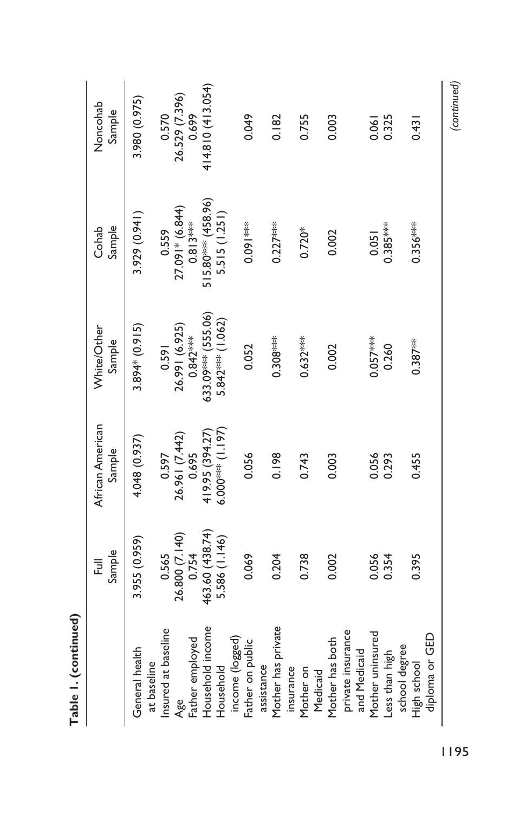| General health | 3.955 (0.959)<br>Sample<br>Ē     | African American<br>4.048 (0.937)<br>Sample | $3.894* (0.915)$<br>White/Other<br>Sample | 3.929 (0.941)<br>Sample<br>Cohab       | 3.980 (0.975)<br>Noncohab<br>Sample |
|----------------|----------------------------------|---------------------------------------------|-------------------------------------------|----------------------------------------|-------------------------------------|
|                | 26.800 (7.140)<br>0.565<br>0.754 | 26.961 (7.442)<br>0.695<br>0.597            | 26.991 (6.925)<br>$0.842***$<br>0.591     | 27.091* (6.844)<br>$0.813***$<br>0.559 | 26.529 (7.396)<br>0.699<br>0.570    |
|                | 463.60 (438.74)<br>5.586 (1.146) | (1.197)<br>419.95 (394.27)                  | 633.09**** (555.06)<br>5.842**** (1.062)  | 515.80**** (458.96)<br>5.515 (1.251)   | 414.810 (413.054)                   |
|                | 0.069                            | 0.056                                       | 0.052                                     | $0.091***$                             | 0.049                               |
|                | 0.204                            | 0.198                                       | $0.308***$                                | $0.227***$                             | 0.182                               |
|                | 0.738                            | 0.743                                       | $0.632***$                                | $0.720*$                               | 0.755                               |
|                | 0.002                            | 0.003                                       | 0.002                                     | 0.002                                  | 0.003                               |
|                | 0.056<br>0.354                   | 0.056<br>0.293                              | $0.057***$<br>0.260                       | $0.385***$<br>0.051                    | 0.325<br>0.061                      |
|                | 0.395                            | 0.455                                       | $0.387**$                                 | $0.356***$                             | 0.431                               |

Table 1. (continued) **Table 1. (continued)**

*(continued)*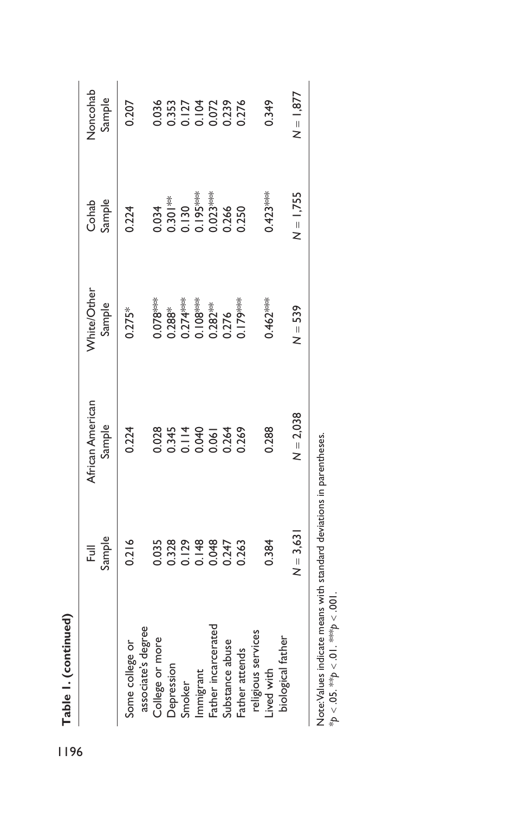|                                       | Sample<br>Ē                      | African American<br>Sample                   | <b>White/Other</b><br>Sample                                   | Cohab<br>Sample | Noncohab<br>Sample                                |
|---------------------------------------|----------------------------------|----------------------------------------------|----------------------------------------------------------------|-----------------|---------------------------------------------------|
| associate's degree<br>Some college or | 0.216                            | 0.224                                        | $0.275*$                                                       | 0.224           | 0.207                                             |
| College or more                       | 0.035                            |                                              | $0.078***$                                                     |                 |                                                   |
| Depression                            |                                  | 0.028<br>0.345<br>0.040<br>0.000000<br>0.269 | 0.288*<br>0.274* <del>**</del><br>0.108***<br>0.282**<br>0.176 |                 | 036<br>0.353<br>0.0.073<br>0.0.0.0.0<br>0.0.0.0.0 |
| Smoker                                |                                  |                                              |                                                                |                 |                                                   |
| Immigrant                             | 0.328<br>0.129<br>0.048<br>0.247 |                                              |                                                                |                 |                                                   |
| ather incarceratec                    |                                  |                                              |                                                                |                 |                                                   |
| iubstance abuse                       |                                  |                                              |                                                                |                 |                                                   |
| -ather attends                        | 0.263                            |                                              |                                                                |                 |                                                   |
| religious services                    |                                  |                                              |                                                                |                 |                                                   |
| ived with                             | 0.384                            | 0.288                                        | $0.462***$                                                     | $0.423***$      | 0.349                                             |
| biological father                     |                                  |                                              |                                                                |                 |                                                   |
|                                       | $N = 3,63$                       | $N = 2,038$                                  | $N = 539$                                                      | $N = 1,755$     | $N = 1,877$                                       |
|                                       |                                  |                                              |                                                                |                 |                                                   |

Note: Values indicate means with standard deviations in parentheses.<br>\* $p < .05.$ \*\* $p < .01.$ \*\* $p < .001.$ Note: Values indicate means with standard deviations in parentheses.

\**p* < .05. \*\**p* < .01. \*\*\**p* < .001.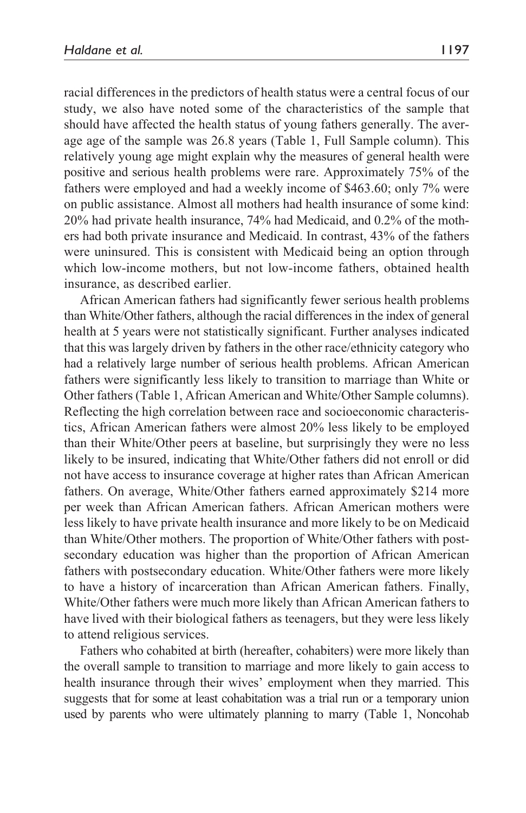racial differences in the predictors of health status were a central focus of our study, we also have noted some of the characteristics of the sample that should have affected the health status of young fathers generally. The average age of the sample was 26.8 years (Table 1, Full Sample column). This relatively young age might explain why the measures of general health were positive and serious health problems were rare. Approximately 75% of the fathers were employed and had a weekly income of \$463.60; only 7% were on public assistance. Almost all mothers had health insurance of some kind: 20% had private health insurance, 74% had Medicaid, and 0.2% of the mothers had both private insurance and Medicaid. In contrast, 43% of the fathers were uninsured. This is consistent with Medicaid being an option through which low-income mothers, but not low-income fathers, obtained health insurance, as described earlier.

African American fathers had significantly fewer serious health problems than White/Other fathers, although the racial differences in the index of general health at 5 years were not statistically significant. Further analyses indicated that this was largely driven by fathers in the other race/ethnicity category who had a relatively large number of serious health problems. African American fathers were significantly less likely to transition to marriage than White or Other fathers (Table 1, African American and White/Other Sample columns). Reflecting the high correlation between race and socioeconomic characteristics, African American fathers were almost 20% less likely to be employed than their White/Other peers at baseline, but surprisingly they were no less likely to be insured, indicating that White/Other fathers did not enroll or did not have access to insurance coverage at higher rates than African American fathers. On average, White/Other fathers earned approximately \$214 more per week than African American fathers. African American mothers were less likely to have private health insurance and more likely to be on Medicaid than White/Other mothers. The proportion of White/Other fathers with postsecondary education was higher than the proportion of African American fathers with postsecondary education. White/Other fathers were more likely to have a history of incarceration than African American fathers. Finally, White/Other fathers were much more likely than African American fathers to have lived with their biological fathers as teenagers, but they were less likely to attend religious services.

Fathers who cohabited at birth (hereafter, cohabiters) were more likely than the overall sample to transition to marriage and more likely to gain access to health insurance through their wives' employment when they married. This suggests that for some at least cohabitation was a trial run or a temporary union used by parents who were ultimately planning to marry (Table 1, Noncohab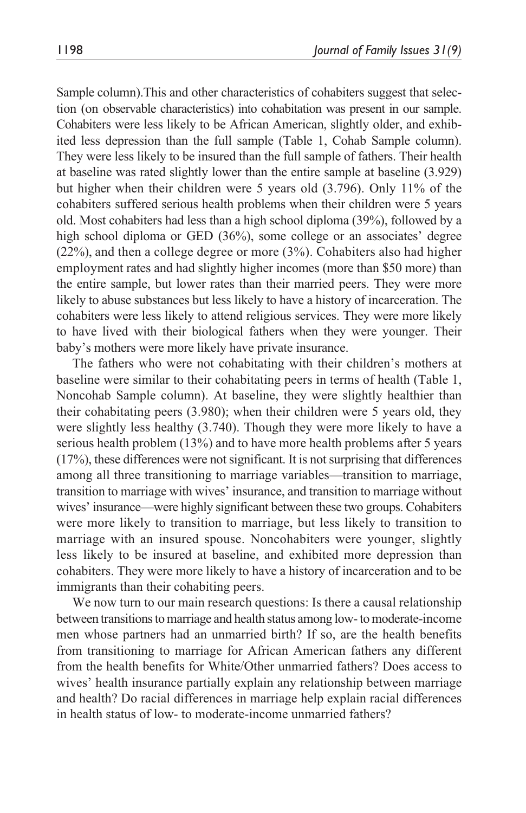Sample column).This and other characteristics of cohabiters suggest that selection (on observable characteristics) into cohabitation was present in our sample. Cohabiters were less likely to be African American, slightly older, and exhibited less depression than the full sample (Table 1, Cohab Sample column). They were less likely to be insured than the full sample of fathers. Their health at baseline was rated slightly lower than the entire sample at baseline (3.929) but higher when their children were 5 years old (3.796). Only 11% of the cohabiters suffered serious health problems when their children were 5 years old. Most cohabiters had less than a high school diploma (39%), followed by a high school diploma or GED (36%), some college or an associates' degree (22%), and then a college degree or more (3%). Cohabiters also had higher employment rates and had slightly higher incomes (more than \$50 more) than the entire sample, but lower rates than their married peers. They were more likely to abuse substances but less likely to have a history of incarceration. The cohabiters were less likely to attend religious services. They were more likely to have lived with their biological fathers when they were younger. Their baby's mothers were more likely have private insurance.

The fathers who were not cohabitating with their children's mothers at baseline were similar to their cohabitating peers in terms of health (Table 1, Noncohab Sample column). At baseline, they were slightly healthier than their cohabitating peers (3.980); when their children were 5 years old, they were slightly less healthy (3.740). Though they were more likely to have a serious health problem (13%) and to have more health problems after 5 years (17%), these differences were not significant. It is not surprising that differences among all three transitioning to marriage variables—transition to marriage, transition to marriage with wives' insurance, and transition to marriage without wives' insurance—were highly significant between these two groups. Cohabiters were more likely to transition to marriage, but less likely to transition to marriage with an insured spouse. Noncohabiters were younger, slightly less likely to be insured at baseline, and exhibited more depression than cohabiters. They were more likely to have a history of incarceration and to be immigrants than their cohabiting peers.

We now turn to our main research questions: Is there a causal relationship between transitions to marriage and health status among low- to moderate-income men whose partners had an unmarried birth? If so, are the health benefits from transitioning to marriage for African American fathers any different from the health benefits for White/Other unmarried fathers? Does access to wives' health insurance partially explain any relationship between marriage and health? Do racial differences in marriage help explain racial differences in health status of low- to moderate-income unmarried fathers?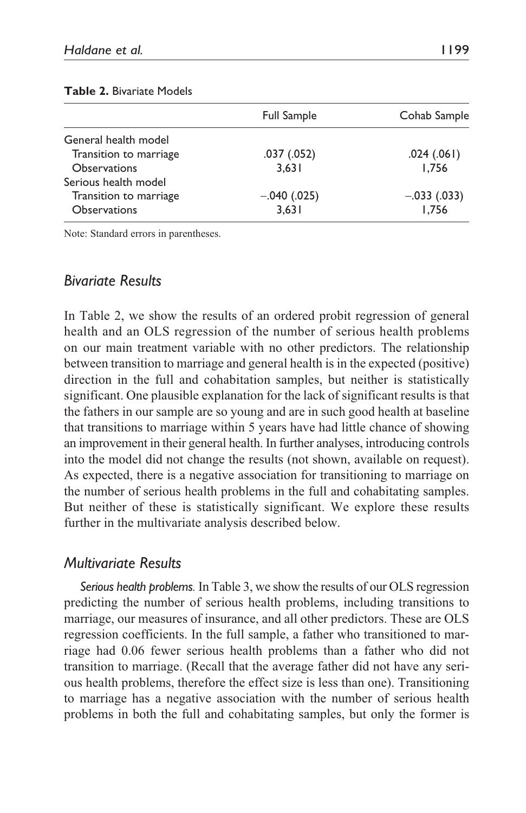General

| aple <b>4.</b> Divariate Plogers |                    |              |
|----------------------------------|--------------------|--------------|
|                                  | <b>Full Sample</b> | Cohab Sample |
| ieneral health model             |                    |              |
| Transition to marriage           | .037(.052)         | .024(.061)   |
| <b>Observations</b>              | 3.631              | 1.756        |

Transition to marriage  $-0.040$  (.025)  $-0.033$  (.033) Observations 3,631 and 1,756

**Table 2.** Bivariate Models

Note: Standard errors in parentheses.

# *Bivariate Results*

Serious health model

In Table 2, we show the results of an ordered probit regression of general health and an OLS regression of the number of serious health problems on our main treatment variable with no other predictors. The relationship between transition to marriage and general health is in the expected (positive) direction in the full and cohabitation samples, but neither is statistically significant. One plausible explanation for the lack of significant results is that the fathers in our sample are so young and are in such good health at baseline that transitions to marriage within 5 years have had little chance of showing an improvement in their general health. In further analyses, introducing controls into the model did not change the results (not shown, available on request). As expected, there is a negative association for transitioning to marriage on the number of serious health problems in the full and cohabitating samples. But neither of these is statistically significant. We explore these results further in the multivariate analysis described below.

## *Multivariate Results*

*Serious health problems.* In Table 3, we show the results of our OLS regression predicting the number of serious health problems, including transitions to marriage, our measures of insurance, and all other predictors. These are OLS regression coefficients. In the full sample, a father who transitioned to marriage had 0.06 fewer serious health problems than a father who did not transition to marriage. (Recall that the average father did not have any serious health problems, therefore the effect size is less than one). Transitioning to marriage has a negative association with the number of serious health problems in both the full and cohabitating samples, but only the former is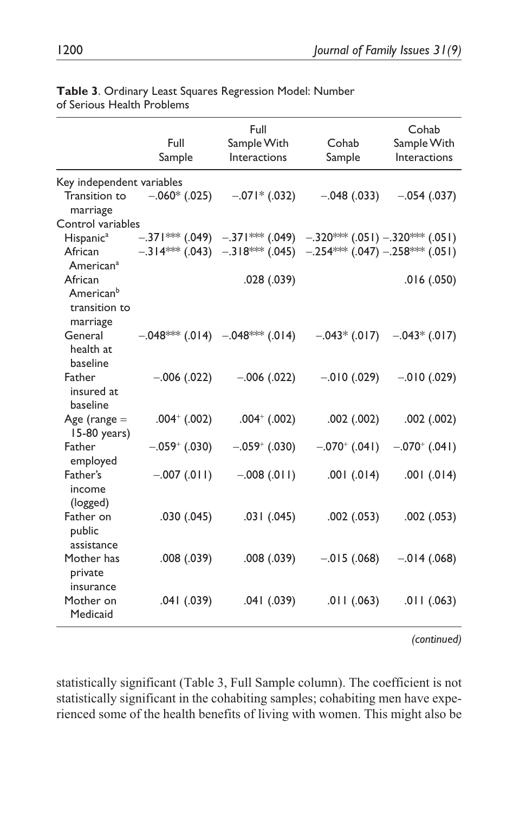|                                                               | Full<br>Sample    | Full<br>Sample With<br>Interactions                                                    | Cohab<br>Sample    | Cohab<br>Sample With<br>Interactions |
|---------------------------------------------------------------|-------------------|----------------------------------------------------------------------------------------|--------------------|--------------------------------------|
| Key independent variables                                     |                   |                                                                                        |                    |                                      |
| Transition to<br>marriage                                     | $-.060*$ (.025)   | $-.071*(.032)$                                                                         | $-.048(.033)$      | $-.054(.037)$                        |
| Control variables<br>Hispanic <sup>a</sup>                    |                   | $-.371$ *** $(.049)$ $-.371$ *** $(.049)$ $-.320$ *** $(.051)$ $-.320$ *** $(.051)$    |                    |                                      |
| African<br>American <sup>a</sup>                              |                   | $-.314$ <sup>***</sup> (.043) $-.318$ *** (.045) $-.254$ *** (.047) $-.258$ *** (.051) |                    |                                      |
| African<br>American <sup>b</sup><br>transition to<br>marriage |                   | .028(.039)                                                                             |                    | .016(.050)                           |
| General<br>health at<br>baseline                              |                   | $-.048$ *** (.014) $-.048$ *** (.014)                                                  |                    | $-.043*$ (.017) $-.043*$ (.017)      |
| Father<br>insured at<br>baseline                              | $-.006(.022)$     | $-.006(.022)$                                                                          | $-.010(.029)$      | $-.010(.029)$                        |
| Age (range $=$<br>$15-80$ years)                              | $.004^{+}$ (.002) | $.004^{+}$ (.002)                                                                      | .002(.002)         | .002(.002)                           |
| Father<br>employed                                            | $-.059+ (.030)$   | $-.059+ (.030)$                                                                        | $-.070^{+}$ (.041) | $-.070^{+}$ (.041)                   |
| Father's<br>income<br>(logged)                                | $-0.007(011)$     | $-0.008(011)$                                                                          | $.001$ $(.014)$    | $.001$ $(.014)$                      |
| Father on<br>public<br>assistance                             | .030(.045)        | .031(.045)                                                                             | .002(.053)         | .002(.053)                           |
| Mother has<br>private<br>insurance                            | .008(.039)        | .008(.039)                                                                             | $-.015(.068)$      | $-.014(.068)$                        |
| Mother on<br>Medicaid                                         | .041(.039)        | .041(.039)                                                                             | .011 (.063)        | .011(.063)                           |

#### **Table 3**. Ordinary Least Squares Regression Model: Number of Serious Health Problems

*(continued)*

statistically significant (Table 3, Full Sample column). The coefficient is not statistically significant in the cohabiting samples; cohabiting men have experienced some of the health benefits of living with women. This might also be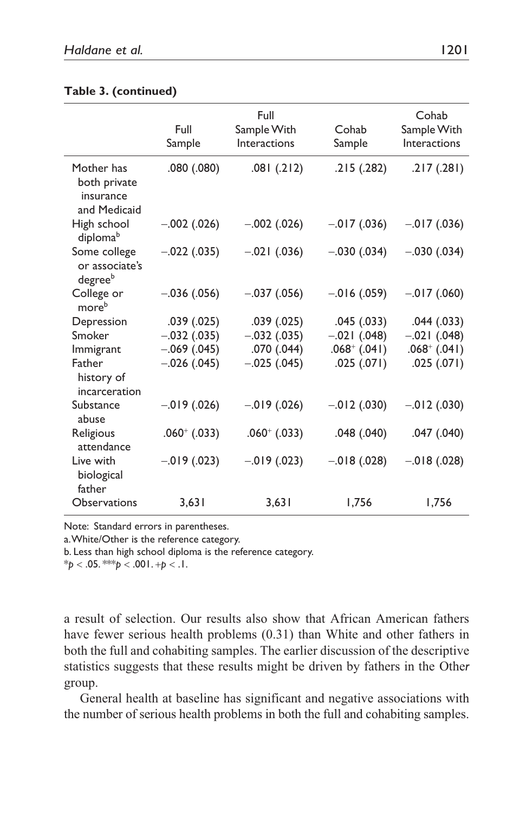|                                                         | Full<br>Sample    | Full<br>Sample With<br>Interactions | Cohab<br>Sample   | Cohab<br>Sample With<br>Interactions |
|---------------------------------------------------------|-------------------|-------------------------------------|-------------------|--------------------------------------|
| Mother has<br>both private<br>insurance<br>and Medicaid | .080 (.080)       | .081(.212)                          | .215(.282)        | .217(.281)                           |
| High school<br>diploma <sup>b</sup>                     | $-.002(.026)$     | $-.002(.026)$                       | $-.017(.036)$     | $-0.017(0.036)$                      |
| Some college<br>or associate's<br>degreeb               | $-.022(.035)$     | $-.021$ (.036)                      | $-.030(.034)$     | $-.030(.034)$                        |
| College or<br>more <sup>b</sup>                         | $-.036(.056)$     | $-.037(.056)$                       | $-.016(.059)$     | $-.017(.060)$                        |
| Depression                                              | .039(.025)        | .039(.025)                          | .045 (.033)       | .044(.033)                           |
| Smoker                                                  | $-.032(.035)$     | $-.032(.035)$                       | $-.021(.048)$     | $-.021$ (.048)                       |
| Immigrant                                               | $-.069(.045)$     | .070(.044)                          | $.068^{+}$ (.041) | $.068^{+}$ (.041)                    |
| Father<br>history of<br>incarceration                   | $-.026(.045)$     | $-.025(.045)$                       | .025(.071)        | .025(.071)                           |
| Substance<br>abuse                                      | $-0.019(0.026)$   | $-0.019(0.026)$                     | $-.012(.030)$     | $-.012(.030)$                        |
| Religious<br>attendance                                 | $.060^{+}$ (.033) | $.060^{+}$ (.033)                   | .048 (.040)       | .047 (.040)                          |
| Live with<br>biological<br>father                       | $-0.019(0.023)$   | $-.019(.023)$                       | $-.018(.028)$     | $-.018(.028)$                        |
| <b>Observations</b>                                     | 3.631             | 3.631                               | 1,756             | 1.756                                |

#### **Table 3. (continued)**

Note: Standard errors in parentheses.

a. White/Other is the reference category.

b. Less than high school diploma is the reference category.

 $*_{p}$  < .05. \*\*\**p* < .001. +*p* < .1.

a result of selection. Our results also show that African American fathers have fewer serious health problems (0.31) than White and other fathers in both the full and cohabiting samples. The earlier discussion of the descriptive statistics suggests that these results might be driven by fathers in the Othe*r* group.

General health at baseline has significant and negative associations with the number of serious health problems in both the full and cohabiting samples.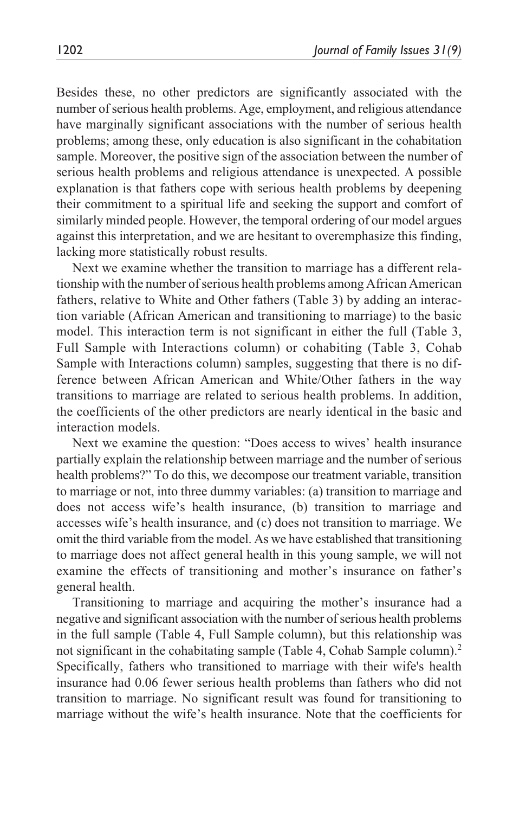Besides these, no other predictors are significantly associated with the number of serious health problems. Age, employment, and religious attendance have marginally significant associations with the number of serious health problems; among these, only education is also significant in the cohabitation sample. Moreover, the positive sign of the association between the number of serious health problems and religious attendance is unexpected. A possible explanation is that fathers cope with serious health problems by deepening their commitment to a spiritual life and seeking the support and comfort of similarly minded people. However, the temporal ordering of our model argues against this interpretation, and we are hesitant to overemphasize this finding, lacking more statistically robust results.

Next we examine whether the transition to marriage has a different relationship with the number of serious health problems among African American fathers, relative to White and Other fathers (Table 3) by adding an interaction variable (African American and transitioning to marriage) to the basic model. This interaction term is not significant in either the full (Table 3, Full Sample with Interactions column) or cohabiting (Table 3, Cohab Sample with Interactions column) samples, suggesting that there is no difference between African American and White/Other fathers in the way transitions to marriage are related to serious health problems. In addition, the coefficients of the other predictors are nearly identical in the basic and interaction models.

Next we examine the question: "Does access to wives' health insurance partially explain the relationship between marriage and the number of serious health problems?" To do this, we decompose our treatment variable, transition to marriage or not, into three dummy variables: (a) transition to marriage and does not access wife's health insurance, (b) transition to marriage and accesses wife's health insurance, and (c) does not transition to marriage. We omit the third variable from the model. As we have established that transitioning to marriage does not affect general health in this young sample, we will not examine the effects of transitioning and mother's insurance on father's general health.

Transitioning to marriage and acquiring the mother's insurance had a negative and significant association with the number of serious health problems in the full sample (Table 4, Full Sample column), but this relationship was not significant in the cohabitating sample (Table 4, Cohab Sample column).<sup>2</sup> Specifically, fathers who transitioned to marriage with their wife's health insurance had 0.06 fewer serious health problems than fathers who did not transition to marriage. No significant result was found for transitioning to marriage without the wife's health insurance. Note that the coefficients for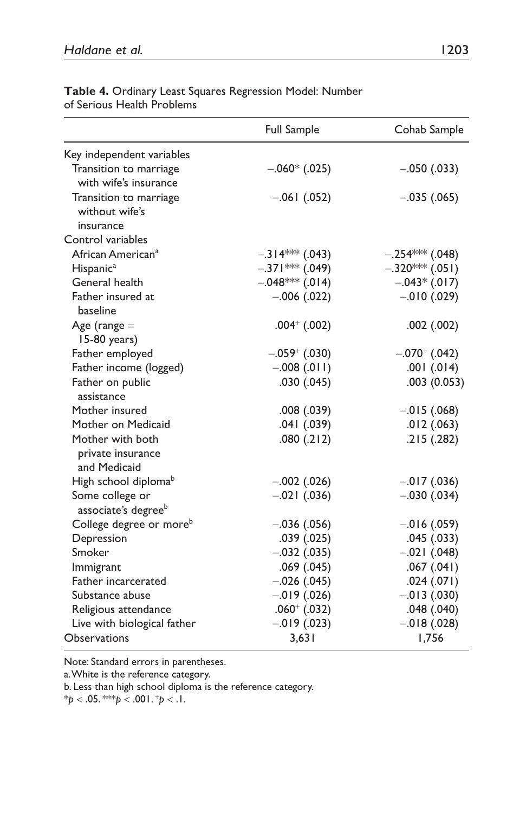|                                                       | <b>Full Sample</b> | Cohab Sample       |
|-------------------------------------------------------|--------------------|--------------------|
| Key independent variables                             |                    |                    |
| Transition to marriage                                | $-.060*(.025)$     | $-.050(.033)$      |
| with wife's insurance                                 |                    |                    |
| Transition to marriage<br>without wife's              | $-.061$ (.052)     | $-.035(.065)$      |
| insurance                                             |                    |                    |
| Control variables                                     |                    |                    |
| African American <sup>a</sup>                         | $-.314***(.043)$   | $-.254***$ (.048)  |
| Hispanic <sup>a</sup>                                 | $-.371***$ (.049)  | $-.320***(.051)$   |
| General health                                        | $-.048***(.014)$   | $-.043*$ (.017)    |
| Father insured at<br>baseline                         | $-.006(.022)$      | $-.010(.029)$      |
| Age (range $=$<br>15-80 years)                        | $.004^{+}$ (.002)  | .002(.002)         |
| Father employed                                       | $-.059+ (.030)$    | $-.070^{+}$ (.042) |
| Father income (logged)                                | $-0.008(0.11)$     | .001(.014)         |
| Father on public<br>assistance                        | .030(.045)         | .003(0.053)        |
| Mother insured                                        | .008(.039)         | $-.015(.068)$      |
| Mother on Medicaid                                    | .041(.039)         | .012(.063)         |
| Mother with both<br>private insurance<br>and Medicaid | .080(.212)         | .215(.282)         |
| High school diploma <sup>b</sup>                      | $-.002(.026)$      | $-.017(.036)$      |
| Some college or<br>associate's degree <sup>b</sup>    | $-.021$ (.036)     | $-.030(.034)$      |
| College degree or more <sup>b</sup>                   | $-.036(.056)$      | $-0.016$ (.059)    |
| Depression                                            | .039(.025)         | .045(.033)         |
| Smoker                                                | $-.032(.035)$      | $-.021$ (.048)     |
| Immigrant                                             | .069(.045)         | .067(.041)         |
| Father incarcerated                                   | $-.026(.045)$      | .024(.071)         |
| Substance abuse                                       | $-0.019(0.026)$    | $-.013(.030)$      |
| Religious attendance                                  | $.060^{+}$ (.032)  | .048(.040)         |
| Live with biological father                           | $-0.019(0.023)$    | $-.018(.028)$      |
| Observations                                          | 3,631              | 1,756              |

**Table 4.** Ordinary Least Squares Regression Model: Number of Serious Health Problems

Note: Standard errors in parentheses.

a. White is the reference category.

b. Less than high school diploma is the reference category.

 $**p* < .05.$ \*\*\* $**p* < .1.$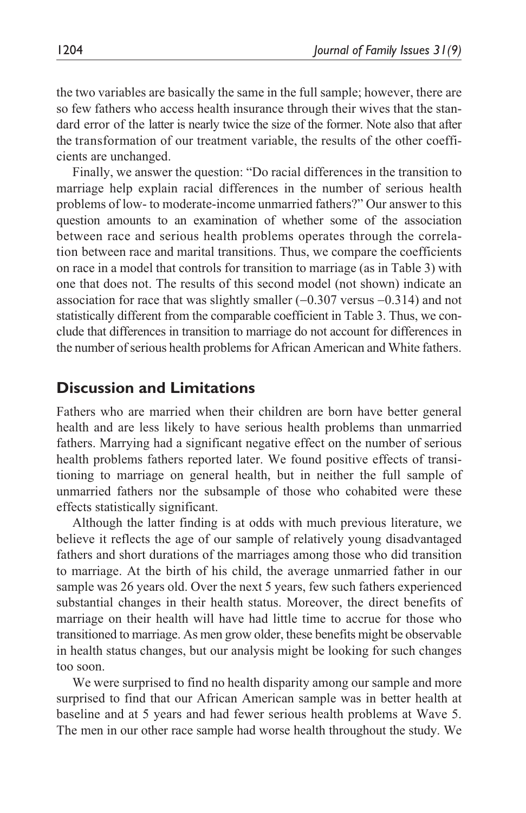the two variables are basically the same in the full sample; however, there are so few fathers who access health insurance through their wives that the standard error of the latter is nearly twice the size of the former. Note also that after the transformation of our treatment variable, the results of the other coefficients are unchanged.

Finally, we answer the question: "Do racial differences in the transition to marriage help explain racial differences in the number of serious health problems of low- to moderate-income unmarried fathers?" Our answer to this question amounts to an examination of whether some of the association between race and serious health problems operates through the correlation between race and marital transitions. Thus, we compare the coefficients on race in a model that controls for transition to marriage (as in Table 3) with one that does not. The results of this second model (not shown) indicate an association for race that was slightly smaller  $(-0.307 \text{ versus } -0.314)$  and not statistically different from the comparable coefficient in Table 3. Thus, we conclude that differences in transition to marriage do not account for differences in the number of serious health problems for African American and White fathers.

# **Discussion and Limitations**

Fathers who are married when their children are born have better general health and are less likely to have serious health problems than unmarried fathers. Marrying had a significant negative effect on the number of serious health problems fathers reported later. We found positive effects of transitioning to marriage on general health, but in neither the full sample of unmarried fathers nor the subsample of those who cohabited were these effects statistically significant.

Although the latter finding is at odds with much previous literature, we believe it reflects the age of our sample of relatively young disadvantaged fathers and short durations of the marriages among those who did transition to marriage. At the birth of his child, the average unmarried father in our sample was 26 years old. Over the next 5 years, few such fathers experienced substantial changes in their health status. Moreover, the direct benefits of marriage on their health will have had little time to accrue for those who transitioned to marriage. As men grow older, these benefits might be observable in health status changes, but our analysis might be looking for such changes too soon.

We were surprised to find no health disparity among our sample and more surprised to find that our African American sample was in better health at baseline and at 5 years and had fewer serious health problems at Wave 5. The men in our other race sample had worse health throughout the study. We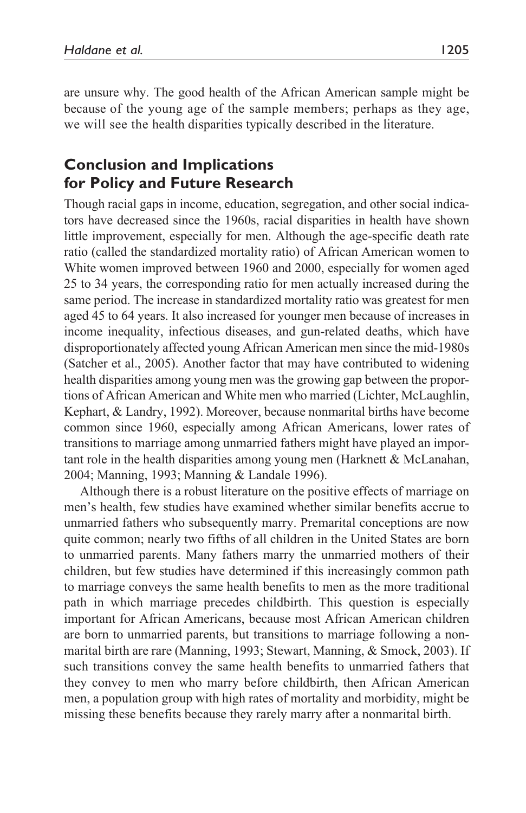are unsure why. The good health of the African American sample might be because of the young age of the sample members; perhaps as they age, we will see the health disparities typically described in the literature.

# **Conclusion and Implications for Policy and Future Research**

Though racial gaps in income, education, segregation, and other social indicators have decreased since the 1960s, racial disparities in health have shown little improvement, especially for men. Although the age-specific death rate ratio (called the standardized mortality ratio) of African American women to White women improved between 1960 and 2000, especially for women aged 25 to 34 years, the corresponding ratio for men actually increased during the same period. The increase in standardized mortality ratio was greatest for men aged 45 to 64 years. It also increased for younger men because of increases in income inequality, infectious diseases, and gun-related deaths, which have disproportionately affected young African American men since the mid-1980s (Satcher et al., 2005). Another factor that may have contributed to widening health disparities among young men was the growing gap between the proportions of African American and White men who married (Lichter, McLaughlin, Kephart, & Landry, 1992). Moreover, because nonmarital births have become common since 1960, especially among African Americans, lower rates of transitions to marriage among unmarried fathers might have played an important role in the health disparities among young men (Harknett & McLanahan, 2004; Manning, 1993; Manning & Landale 1996).

Although there is a robust literature on the positive effects of marriage on men's health, few studies have examined whether similar benefits accrue to unmarried fathers who subsequently marry. Premarital conceptions are now quite common; nearly two fifths of all children in the United States are born to unmarried parents. Many fathers marry the unmarried mothers of their children, but few studies have determined if this increasingly common path to marriage conveys the same health benefits to men as the more traditional path in which marriage precedes childbirth. This question is especially important for African Americans, because most African American children are born to unmarried parents, but transitions to marriage following a nonmarital birth are rare (Manning, 1993; Stewart, Manning, & Smock, 2003). If such transitions convey the same health benefits to unmarried fathers that they convey to men who marry before childbirth, then African American men, a population group with high rates of mortality and morbidity, might be missing these benefits because they rarely marry after a nonmarital birth.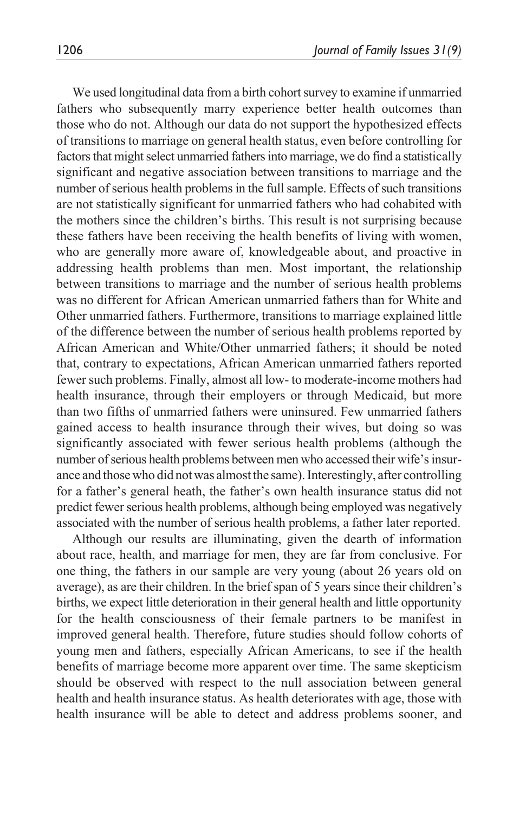We used longitudinal data from a birth cohort survey to examine if unmarried fathers who subsequently marry experience better health outcomes than those who do not. Although our data do not support the hypothesized effects of transitions to marriage on general health status, even before controlling for factors that might select unmarried fathers into marriage, we do find a statistically significant and negative association between transitions to marriage and the number of serious health problems in the full sample. Effects of such transitions are not statistically significant for unmarried fathers who had cohabited with the mothers since the children's births. This result is not surprising because these fathers have been receiving the health benefits of living with women, who are generally more aware of, knowledgeable about, and proactive in addressing health problems than men. Most important, the relationship between transitions to marriage and the number of serious health problems was no different for African American unmarried fathers than for White and Other unmarried fathers. Furthermore, transitions to marriage explained little of the difference between the number of serious health problems reported by African American and White/Other unmarried fathers; it should be noted that, contrary to expectations, African American unmarried fathers reported fewer such problems. Finally, almost all low- to moderate-income mothers had health insurance, through their employers or through Medicaid, but more than two fifths of unmarried fathers were uninsured. Few unmarried fathers gained access to health insurance through their wives, but doing so was significantly associated with fewer serious health problems (although the number of serious health problems between men who accessed their wife's insurance and those who did not was almost the same). Interestingly, after controlling for a father's general heath, the father's own health insurance status did not predict fewer serious health problems, although being employed was negatively associated with the number of serious health problems, a father later reported.

Although our results are illuminating, given the dearth of information about race, health, and marriage for men, they are far from conclusive. For one thing, the fathers in our sample are very young (about 26 years old on average), as are their children. In the brief span of 5 years since their children's births, we expect little deterioration in their general health and little opportunity for the health consciousness of their female partners to be manifest in improved general health. Therefore, future studies should follow cohorts of young men and fathers, especially African Americans, to see if the health benefits of marriage become more apparent over time. The same skepticism should be observed with respect to the null association between general health and health insurance status. As health deteriorates with age, those with health insurance will be able to detect and address problems sooner, and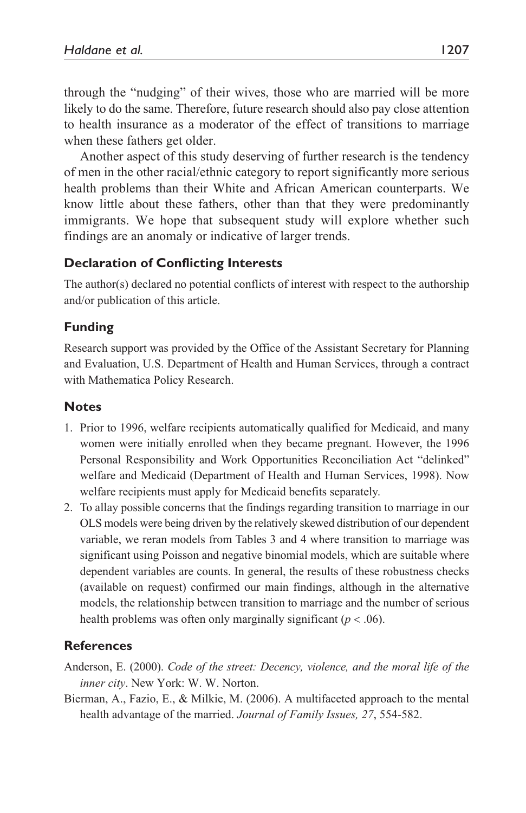through the "nudging" of their wives, those who are married will be more likely to do the same. Therefore, future research should also pay close attention to health insurance as a moderator of the effect of transitions to marriage when these fathers get older.

Another aspect of this study deserving of further research is the tendency of men in the other racial/ethnic category to report significantly more serious health problems than their White and African American counterparts. We know little about these fathers, other than that they were predominantly immigrants. We hope that subsequent study will explore whether such findings are an anomaly or indicative of larger trends.

## **Declaration of Conflicting Interests**

The author(s) declared no potential conflicts of interest with respect to the authorship and/or publication of this article.

### **Funding**

Research support was provided by the Office of the Assistant Secretary for Planning and Evaluation, U.S. Department of Health and Human Services, through a contract with Mathematica Policy Research.

### **Notes**

- 1. Prior to 1996, welfare recipients automatically qualified for Medicaid, and many women were initially enrolled when they became pregnant. However, the 1996 Personal Responsibility and Work Opportunities Reconciliation Act "delinked" welfare and Medicaid (Department of Health and Human Services, 1998). Now welfare recipients must apply for Medicaid benefits separately.
- 2. To allay possible concerns that the findings regarding transition to marriage in our OLS models were being driven by the relatively skewed distribution of our dependent variable, we reran models from Tables 3 and 4 where transition to marriage was significant using Poisson and negative binomial models, which are suitable where dependent variables are counts. In general, the results of these robustness checks (available on request) confirmed our main findings, although in the alternative models, the relationship between transition to marriage and the number of serious health problems was often only marginally significant  $(p < .06)$ .

#### **References**

- Anderson, E. (2000). *Code of the street: Decency, violence, and the moral life of the inner city*. New York: W. W. Norton.
- Bierman, A., Fazio, E., & Milkie, M. (2006). A multifaceted approach to the mental health advantage of the married. *Journal of Family Issues, 27*, 554-582.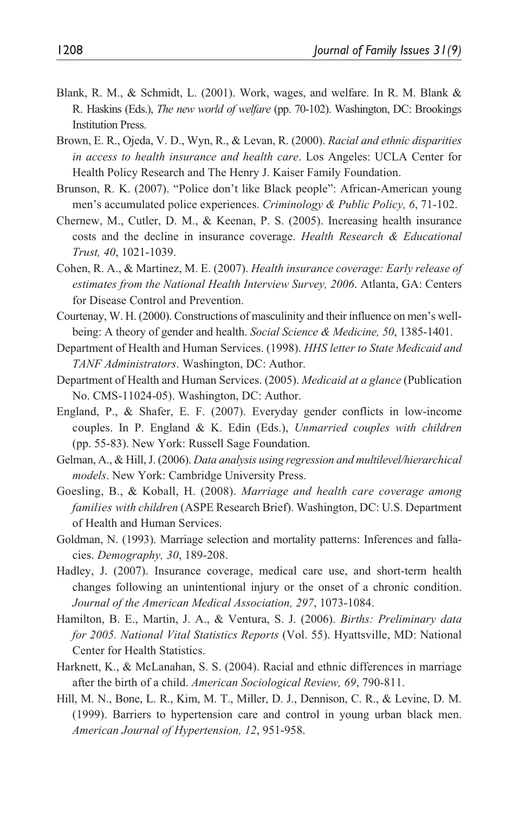- Blank, R. M., & Schmidt, L. (2001). Work, wages, and welfare. In R. M. Blank & R. Haskins (Eds.), *The new world of welfare* (pp. 70-102). Washington, DC: Brookings Institution Press.
- Brown, E. R., Ojeda, V. D., Wyn, R., & Levan, R. (2000). *Racial and ethnic disparities in access to health insurance and health care*. Los Angeles: UCLA Center for Health Policy Research and The Henry J. Kaiser Family Foundation.
- Brunson, R. K. (2007). "Police don't like Black people": African-American young men's accumulated police experiences. *Criminology & Public Policy, 6*, 71-102.
- Chernew, M., Cutler, D. M., & Keenan, P. S. (2005). Increasing health insurance costs and the decline in insurance coverage. *Health Research & Educational Trust, 40*, 1021-1039.
- Cohen, R. A., & Martinez, M. E. (2007). *Health insurance coverage: Early release of estimates from the National Health Interview Survey, 2006*. Atlanta, GA: Centers for Disease Control and Prevention.
- Courtenay, W. H. (2000). Constructions of masculinity and their influence on men's wellbeing: A theory of gender and health. *Social Science & Medicine, 50*, 1385-1401.
- Department of Health and Human Services. (1998). *HHS letter to State Medicaid and TANF Administrators*. Washington, DC: Author.
- Department of Health and Human Services. (2005). *Medicaid at a glance* (Publication No. CMS-11024-05). Washington, DC: Author.
- England, P., & Shafer, E. F. (2007). Everyday gender conflicts in low-income couples. In P. England & K. Edin (Eds.), *Unmarried couples with children* (pp. 55-83). New York: Russell Sage Foundation.
- Gelman, A., & Hill, J. (2006). *Data analysis using regression and multilevel/hierarchical models*. New York: Cambridge University Press.
- Goesling, B., & Koball, H. (2008). *Marriage and health care coverage among families with children* (ASPE Research Brief). Washington, DC: U.S. Department of Health and Human Services.
- Goldman, N. (1993). Marriage selection and mortality patterns: Inferences and fallacies. *Demography, 30*, 189-208.
- Hadley, J. (2007). Insurance coverage, medical care use, and short-term health changes following an unintentional injury or the onset of a chronic condition. *Journal of the American Medical Association, 297*, 1073-1084.
- Hamilton, B. E., Martin, J. A., & Ventura, S. J. (2006). *Births: Preliminary data for 2005. National Vital Statistics Reports* (Vol. 55). Hyattsville, MD: National Center for Health Statistics.
- Harknett, K., & McLanahan, S. S. (2004). Racial and ethnic differences in marriage after the birth of a child. *American Sociological Review, 69*, 790-811.
- Hill, M. N., Bone, L. R., Kim, M. T., Miller, D. J., Dennison, C. R., & Levine, D. M. (1999). Barriers to hypertension care and control in young urban black men. *American Journal of Hypertension, 12*, 951-958.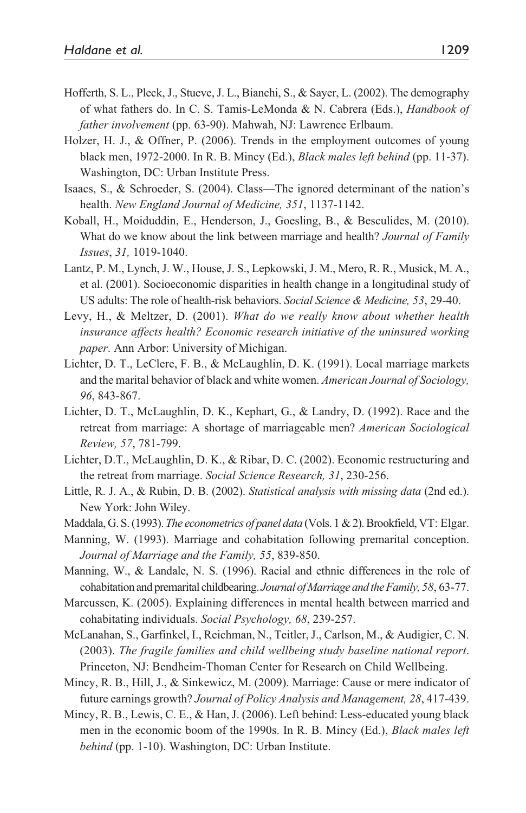- Hofferth, S. L., Pleck, J., Stueve, J. L., Bianchi, S., & Sayer, L. (2002). The demography of what fathers do. In C. S. Tamis-LeMonda & N. Cabrera (Eds.), *Handbook of father involvement* (pp. 63-90). Mahwah, NJ: Lawrence Erlbaum.
- Holzer, H. J., & Offner, P. (2006). Trends in the employment outcomes of young black men, 1972-2000. In R. B. Mincy (Ed.), *Black males left behind* (pp. 11-37). Washington, DC: Urban Institute Press.
- Isaacs, S., & Schroeder, S. (2004). Class—The ignored determinant of the nation's health. *New England Journal of Medicine, 351*, 1137-1142.
- Koball, H., Moiduddin, E., Henderson, J., Goesling, B., & Besculides, M. (2010). What do we know about the link between marriage and health? *Journal of Family Issues*, *31,* 1019-1040.
- Lantz, P. M., Lynch, J. W., House, J. S., Lepkowski, J. M., Mero, R. R., Musick, M. A., et al. (2001). Socioeconomic disparities in health change in a longitudinal study of US adults: The role of health-risk behaviors. *Social Science & Medicine, 53*, 29-40.
- Levy, H., & Meltzer, D. (2001). *What do we really know about whether health insurance affects health? Economic research initiative of the uninsured working paper*. Ann Arbor: University of Michigan.
- Lichter, D. T., LeClere, F. B., & McLaughlin, D. K. (1991). Local marriage markets and the marital behavior of black and white women. *American Journal of Sociology, 96*, 843-867.
- Lichter, D. T., McLaughlin, D. K., Kephart, G., & Landry, D. (1992). Race and the retreat from marriage: A shortage of marriageable men? *American Sociological Review, 57*, 781-799.
- Lichter, D.T., McLaughlin, D. K., & Ribar, D. C. (2002). Economic restructuring and the retreat from marriage. *Social Science Research, 31*, 230-256.
- Little, R. J. A., & Rubin, D. B. (2002). *Statistical analysis with missing data* (2nd ed.). New York: John Wiley.
- Maddala, G. S. (1993). *The econometrics of panel data* (Vols. 1 & 2). Brookfield, VT: Elgar.
- Manning, W. (1993). Marriage and cohabitation following premarital conception. *Journal of Marriage and the Family, 55*, 839-850.
- Manning, W., & Landale, N. S. (1996). Racial and ethnic differences in the role of cohabitation and premarital childbearing. *Journal of Marriage and the Family, 58*, 63-77.
- Marcussen, K. (2005). Explaining differences in mental health between married and cohabitating individuals. *Social Psychology, 68*, 239-257.
- McLanahan, S., Garfinkel, I., Reichman, N., Teitler, J., Carlson, M., & Audigier, C. N. (2003). *The fragile families and child wellbeing study baseline national report*. Princeton, NJ: Bendheim-Thoman Center for Research on Child Wellbeing.
- Mincy, R. B., Hill, J., & Sinkewicz, M. (2009). Marriage: Cause or mere indicator of future earnings growth? *Journal of Policy Analysis and Management, 28*, 417-439.
- Mincy, R. B., Lewis, C. E., & Han, J. (2006). Left behind: Less-educated young black men in the economic boom of the 1990s. In R. B. Mincy (Ed.), *Black males left behind* (pp. 1-10). Washington, DC: Urban Institute.